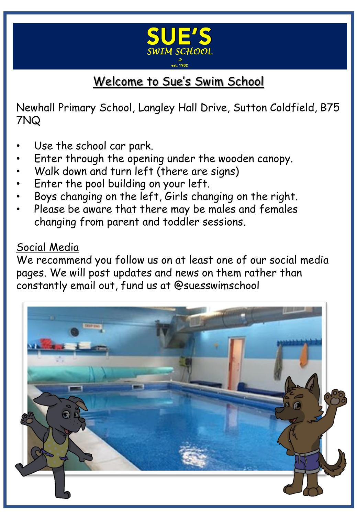

# Welcome to Sue's Swim School

Newhall Primary School, Langley Hall Drive, Sutton Coldfield, B75 7NQ

- Use the school car park.
- Enter through the opening under the wooden canopy.
- Walk down and turn left (there are signs)
- Enter the pool building on your left.
- Boys changing on the left, Girls changing on the right.
- Please be aware that there may be males and females changing from parent and toddler sessions.

### Social Media

We recommend you follow us on at least one of our social media pages. We will post updates and news on them rather than constantly email out, fund us at @suesswimschool